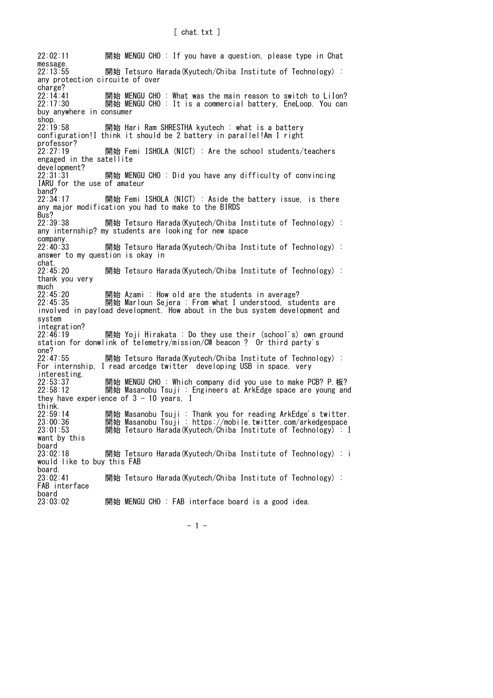22:02:11 開始 MENGU CHO : If you have a question, please type in Chat message.<br> $22:13:55$ 開始 Tetsuro Harada(Kyutech/Chiba Institute of Technology) : any protection circuite of over charge?<br>22:14:41 22:14:41 開始 MENGU CHO : What was the main reason to switch to LiIon?<br>22:17:30 開始 MENGU CHO : It is a commercial battery, EneLoop. You can 開始 MENGU CHO : It is a commercial battery, EneLoop. You can buy anywhere in consumer shop.<br>22:19:58 開始 Hari Ram SHRESTHA kyutech : what is a battery configuration!I think it should be 2 battery in parallel!Am I right professor?<br>22:27:19 開始 Femi ISHOLA (NICT) : Are the school students/teachers engaged in the satellite development?<br>22:31:31 開始 MENGU CHO : Did you have any difficulty of convincing IARU for the use of amateur band?<br>22:34:17 開始 Femi ISHOLA (NICT) : Aside the battery issue, is there any major modification you had to make to the BIRDS Bus?<br>22:39:38 開始 Tetsuro Harada(Kyutech/Chiba Institute of Technology) : any internship? my students are looking for new space company.<br> $22:40:33$ 開始 Tetsuro Harada(Kyutech/Chiba Institute of Technology) : answer to my question is okay in chat.<br>22:45:20 開始 Tetsuro Harada(Kyutech/Chiba Institute of Technology) : thank you very much<br> $22:45:20$ 22:45:20 開始 Azami : How old are the students in average?<br>22:45:35 開始 Marloun Sejera : From what I understood, stu 開始 Marloun Sejera : From what I understood, students are involved in payload development. How about in the bus system development and system integration? 22:46:19 開始 Yoji Hirakata : Do they use their (school's) own ground station for donwlink of telemetry/mission/CW beacon ? Or third party's one?<br>22:47:55 開始 Tetsuro Harada(Kyutech/Chiba Institute of Technology) : For internship, I read arcedge twitter developing USB in space. very interesting.<br>22:53:37<br>22:58:12 開始 MENGU CHO : Which company did you use to make PCB? P.板? 開始 Masanobu Tsuji : Engineers at ArkEdge space are young and they have experience of  $3 - 10$  years. I think.<br>22:59:14 22:59:14 開始 Masanobu Tsuji : Thank you for reading ArkEdge's twitter. 23:00:36 開始 Masanobu Tsuji : https://mobile.twitter.com/arkedgespace 23:01:53 開始 Tetsuro Harada (Kyutech/Chiba Institute of Technology) : I want by this board<br>23:02:18 開始 Tetsuro Harada(Kyutech/Chiba Institute of Technology) : i would like to buy this FAB board.<br> $23:02:41$ 開始 Tetsuro Harada(Kyutech/Chiba Institute of Technology) : FAB interface board 23:03:02 開始 MENGU CHO : FAB interface board is a good idea.

- 1 -